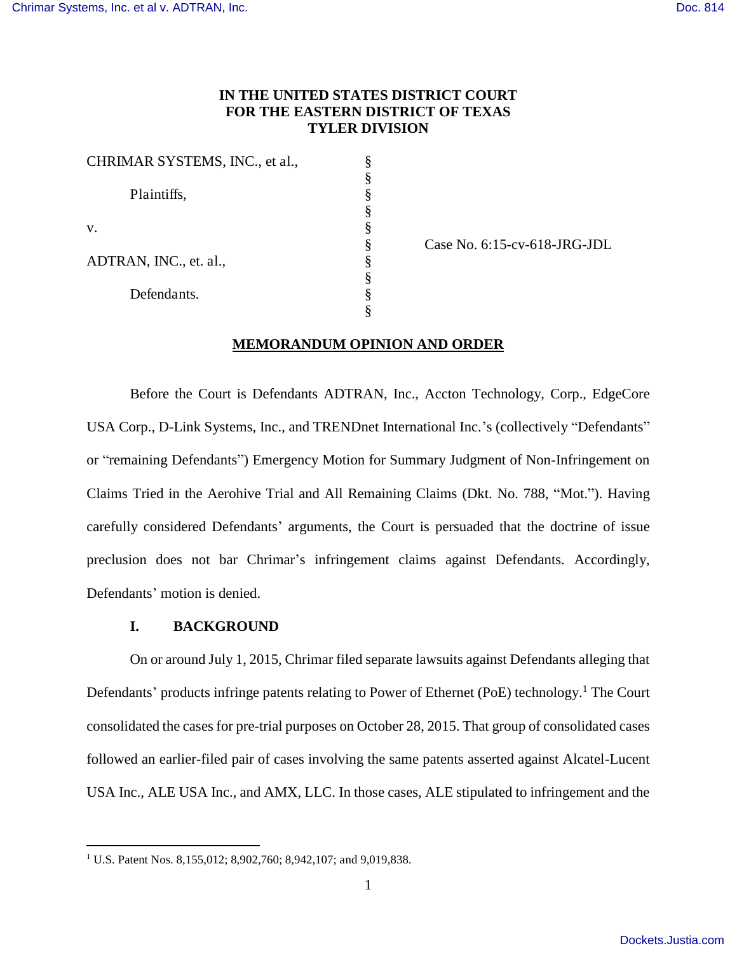# **IN THE UNITED STATES DISTRICT COURT FOR THE EASTERN DISTRICT OF TEXAS TYLER DIVISION**

| CHRIMAR SYSTEMS, INC., et al., |  |
|--------------------------------|--|
|                                |  |
| Plaintiffs,                    |  |
|                                |  |
| V.                             |  |
|                                |  |
| ADTRAN, INC., et. al.,         |  |
|                                |  |
| Defendants.                    |  |
|                                |  |

Case No. 6:15-cv-618-JRG-JDL

## **MEMORANDUM OPINION AND ORDER**

Before the Court is Defendants ADTRAN, Inc., Accton Technology, Corp., EdgeCore USA Corp., D-Link Systems, Inc., and TRENDnet International Inc.'s (collectively "Defendants" or "remaining Defendants") Emergency Motion for Summary Judgment of Non-Infringement on Claims Tried in the Aerohive Trial and All Remaining Claims (Dkt. No. 788, "Mot."). Having carefully considered Defendants' arguments, the Court is persuaded that the doctrine of issue preclusion does not bar Chrimar's infringement claims against Defendants. Accordingly, Defendants' motion is denied.

### **I. BACKGROUND**

 $\overline{a}$ 

On or around July 1, 2015, Chrimar filed separate lawsuits against Defendants alleging that Defendants' products infringe patents relating to Power of Ethernet (PoE) technology.<sup>1</sup> The Court consolidated the cases for pre-trial purposes on October 28, 2015. That group of consolidated cases followed an earlier-filed pair of cases involving the same patents asserted against Alcatel-Lucent USA Inc., ALE USA Inc., and AMX, LLC. In those cases, ALE stipulated to infringement and the

<sup>&</sup>lt;sup>1</sup> U.S. Patent Nos. 8,155,012; 8,902,760; 8,942,107; and 9,019,838.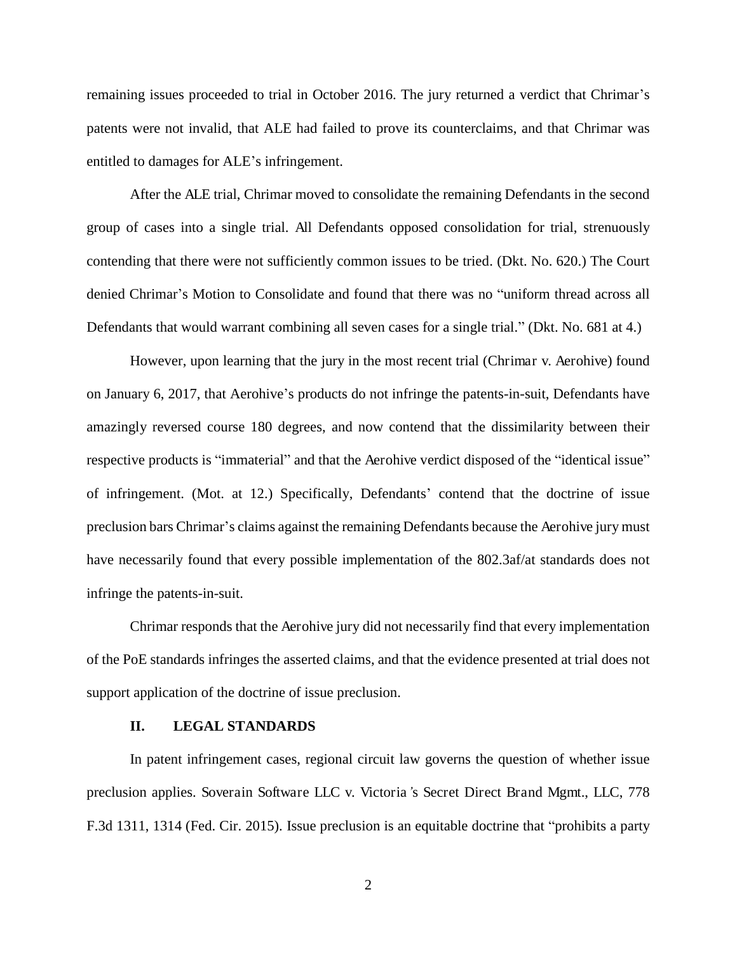remaining issues proceeded to trial in October 2016. The jury returned a verdict that Chrimar's patents were not invalid, that ALE had failed to prove its counterclaims, and that Chrimar was entitled to damages for ALE's infringement.

After the ALE trial, Chrimar moved to consolidate the remaining Defendants in the second group of cases into a single trial. All Defendants opposed consolidation for trial, strenuously contending that there were not sufficiently common issues to be tried. (Dkt. No. 620.) The Court denied Chrimar's Motion to Consolidate and found that there was no "uniform thread across all Defendants that would warrant combining all seven cases for a single trial." (Dkt. No. 681 at 4.)

However, upon learning that the jury in the most recent trial (Chrimar v. Aerohive) found on January 6, 2017, that Aerohive's products do not infringe the patents-in-suit, Defendants have amazingly reversed course 180 degrees, and now contend that the dissimilarity between their respective products is "immaterial" and that the Aerohive verdict disposed of the "identical issue" of infringement. (Mot. at 12.) Specifically, Defendants' contend that the doctrine of issue preclusion bars Chrimar's claims against the remaining Defendants because the Aerohive jury must have necessarily found that every possible implementation of the 802.3af/at standards does not infringe the patents-in-suit.

Chrimar responds that the Aerohive jury did not necessarily find that every implementation of the PoE standards infringes the asserted claims, and that the evidence presented at trial does not support application of the doctrine of issue preclusion.

#### **II. LEGAL STANDARDS**

In patent infringement cases, regional circuit law governs the question of whether issue preclusion applies. Soverain Software LLC v. Victoria*'*s Secret Direct Brand Mgmt., LLC, 778 F.3d 1311, 1314 (Fed. Cir. 2015). Issue preclusion is an equitable doctrine that "prohibits a party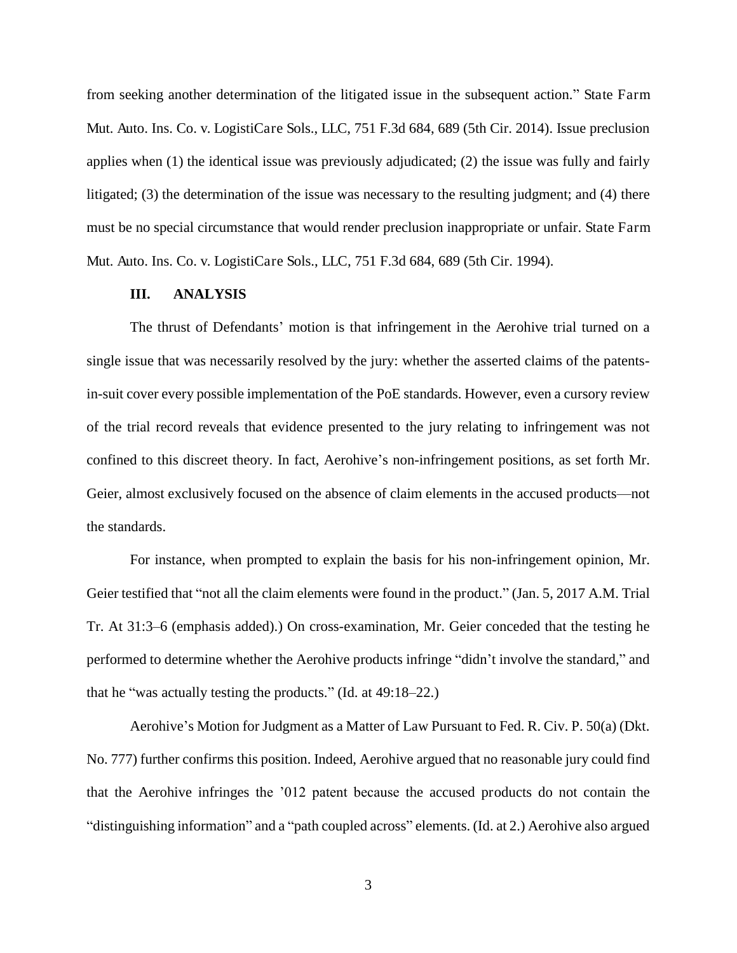from seeking another determination of the litigated issue in the subsequent action." State Farm Mut. Auto. Ins. Co. v. LogistiCare Sols., LLC, 751 F.3d 684, 689 (5th Cir. 2014). Issue preclusion applies when (1) the identical issue was previously adjudicated; (2) the issue was fully and fairly litigated; (3) the determination of the issue was necessary to the resulting judgment; and (4) there must be no special circumstance that would render preclusion inappropriate or unfair. State Farm Mut. Auto. Ins. Co. v. LogistiCare Sols., LLC, 751 F.3d 684, 689 (5th Cir. 1994).

## **III. ANALYSIS**

The thrust of Defendants' motion is that infringement in the Aerohive trial turned on a single issue that was necessarily resolved by the jury: whether the asserted claims of the patentsin-suit cover every possible implementation of the PoE standards. However, even a cursory review of the trial record reveals that evidence presented to the jury relating to infringement was not confined to this discreet theory. In fact, Aerohive's non-infringement positions, as set forth Mr. Geier, almost exclusively focused on the absence of claim elements in the accused products—not the standards.

For instance, when prompted to explain the basis for his non-infringement opinion, Mr. Geier testified that "not all the claim elements were found in the product." (Jan. 5, 2017 A.M. Trial Tr. At 31:3–6 (emphasis added).) On cross-examination, Mr. Geier conceded that the testing he performed to determine whether the Aerohive products infringe "didn't involve the standard," and that he "was actually testing the products." (Id. at 49:18–22.)

Aerohive's Motion for Judgment as a Matter of Law Pursuant to Fed. R. Civ. P. 50(a) (Dkt. No. 777) further confirms this position. Indeed, Aerohive argued that no reasonable jury could find that the Aerohive infringes the '012 patent because the accused products do not contain the "distinguishing information" and a "path coupled across" elements. (Id. at 2.) Aerohive also argued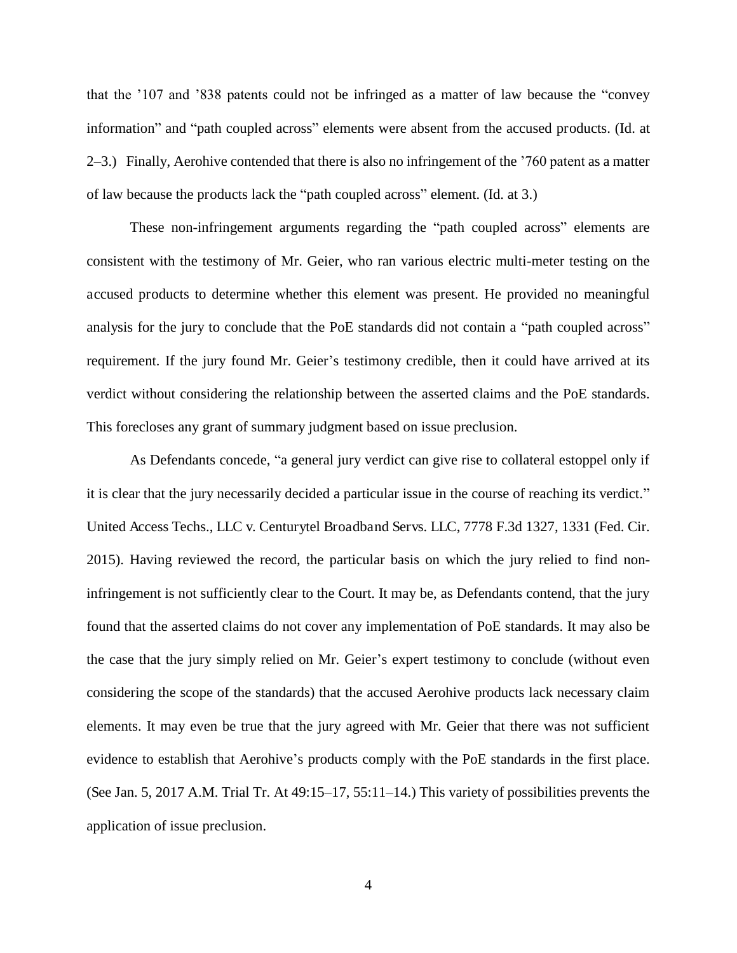that the '107 and '838 patents could not be infringed as a matter of law because the "convey information" and "path coupled across" elements were absent from the accused products. (Id. at 2–3.) Finally, Aerohive contended that there is also no infringement of the '760 patent as a matter of law because the products lack the "path coupled across" element. (Id. at 3.)

These non-infringement arguments regarding the "path coupled across" elements are consistent with the testimony of Mr. Geier, who ran various electric multi-meter testing on the accused products to determine whether this element was present. He provided no meaningful analysis for the jury to conclude that the PoE standards did not contain a "path coupled across" requirement. If the jury found Mr. Geier's testimony credible, then it could have arrived at its verdict without considering the relationship between the asserted claims and the PoE standards. This forecloses any grant of summary judgment based on issue preclusion.

As Defendants concede, "a general jury verdict can give rise to collateral estoppel only if it is clear that the jury necessarily decided a particular issue in the course of reaching its verdict." United Access Techs., LLC v. Centurytel Broadband Servs. LLC, 7778 F.3d 1327, 1331 (Fed. Cir. 2015). Having reviewed the record, the particular basis on which the jury relied to find noninfringement is not sufficiently clear to the Court. It may be, as Defendants contend, that the jury found that the asserted claims do not cover any implementation of PoE standards. It may also be the case that the jury simply relied on Mr. Geier's expert testimony to conclude (without even considering the scope of the standards) that the accused Aerohive products lack necessary claim elements. It may even be true that the jury agreed with Mr. Geier that there was not sufficient evidence to establish that Aerohive's products comply with the PoE standards in the first place. (See Jan. 5, 2017 A.M. Trial Tr. At 49:15–17, 55:11–14.) This variety of possibilities prevents the application of issue preclusion.